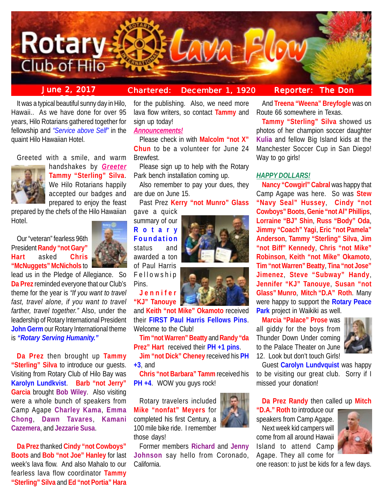

# **June 2, 2017 Chartered: December 1, 1920**

## **Reporter: The Don**

<mark>ل مسيح الريابات الحرارة ال</mark>مراجع<br>توجيد بن عبد الريابات المراجع It was a typical beautiful sunny day in Hilo, Hawaii.. As we have done for over 95 years, Hilo Rotarians gathered together for fellowship and *"Service above Self"* in the quaint Hilo Hawaiian Hotel.

Greeted with a smile, and warm



handshakes by *Greeter* **Tammy "Sterling" Silva**. We Hilo Rotarians happily accepted our badges and prepared to enjoy the feast

prepared by the chefs of the Hilo Hawaiian Hotel.

Our "veteran" fearless 96th President **Randy "not Gary" Hart** asked **Chris "McNuggets" McNichols** to



lead us in the Pledge of Allegiance. So **Da Prez** reminded everyone that our Club's theme for the year is *"If you want to travel fast, travel alone, if you want to travel farther, travel together."* Also, under the leadership of Rotary International President **John Germ** our Rotary International theme is *"Rotary Serving Humanity."*

**Da Prez** then brought up **Tammy "Sterling" Silva** to introduce our guests. Visiting from Rotary Club of Hilo Bay was **Karolyn Lundkvist**. **Barb "not Jerry" Garcia** brought **Bob Wiley**. Also visiting were a whole bunch of speakers from Camp Agape **Charley Kama**, **Emma Chong**, **Dawn Tavares**, **Kamani Cazemera**, and **Jezzarie Susa**.

**Da Prez** thanked **Cindy "not Cowboys" Boots** and **Bob "not Joe" Hanley** for last week's lava flow. And also Mahalo to our fearless lava flow coordinator **Tammy "Sterling" Silva** and **Ed "not Portia" Hara**

for the publishing. Also, we need more lava flow writers, so contact **Tammy** and sign up today!

### *Announcements!*

Please check in with **Malcolm "not X" Chun** to be a volunteer for June 24 Brewfest.

Please sign up to help with the Rotary Park bench installation coming up.

Also remember to pay your dues, they are due on June 15.

Past Prez **Kerry "not Munro" Glass**

gave a quick summary of our **Rotary Foundation** status and awarded a ton of Paul Harris Fellowship Pins.

**Jennifer "KJ" Tanouye**

and **Keith "not Mike" Okamoto** received their **FIRST Paul Harris Fellows Pins**. Welcome to the Club!

**Tim "not Warren" Beatty** and **Randy "da Prez" Hart** received their **PH +1 pins**.

**Jim "not Dick" Cheney** received his **PH +3**, and

**Chris "not Barbara" Tamm** received his **PH +4**. WOW you guys rock!

Rotary travelers included **Mike "nonfat" Meyers** for completed his first Century, a 100 mile bike ride. I remember those days!

Former members **Richard** and **Jenny Johnson** say hello from Coronado, California.

And **Treena "Weena" Breyfogle** was on Route 66 somewhere in Texas.

**Tammy "Sterling" Silva** showed us photos of her champion soccer daughter **Kulia** and fellow Big Island kids at the Manchester Soccer Cup in San Diego! Way to go girls!

### *HAPPY DOLLARS!*

**Nancy "Cowgirl" Cabral** was happy that Camp Agape was here. So was **Stew "Navy Seal" Hussey**, **Cindy "not Cowboys" Boots**, **Genie "not Al" Phillips**, **Lorraine "BJ" Shin**, **Russ "Body" Oda**, **Jimmy "Coach" Yagi**, **Eric "not Pamela" Anderson**, **Tammy "Sterling" Silva**, **Jim "not Biff" Kennedy**, **Chris "not Mike" Robinson**, **Keith "not Mike" Okamoto**, **Tim "not Warren" Beatty**, **Tina "not Jose" Jimenez**, **Steve "Subway" Handy**, **Jennifer "KJ" Tanouye**, **Susan "not Glass" Munro**, **Mitch "D.A" Roth**. Many were happy to support the **Rotary Peace Park** project in Waikiki as well.

**Marcia "Palace" Prose** was all giddy for the boys from Thunder Down Under coming to the Palace Theater on June 12. Look but don't touch Girls!



Guest **Carolyn Lundvquist** was happy to be visiting our great club. Sorry if I missed your donation!

**Da Prez Randy** then called up **Mitch**

**"D.A." Roth** to introduce our speakers from Camp Agape.

Next week kid campers will come from all around Hawaii Island to attend Camp Agape. They all come for



one reason: to just be kids for a few days.